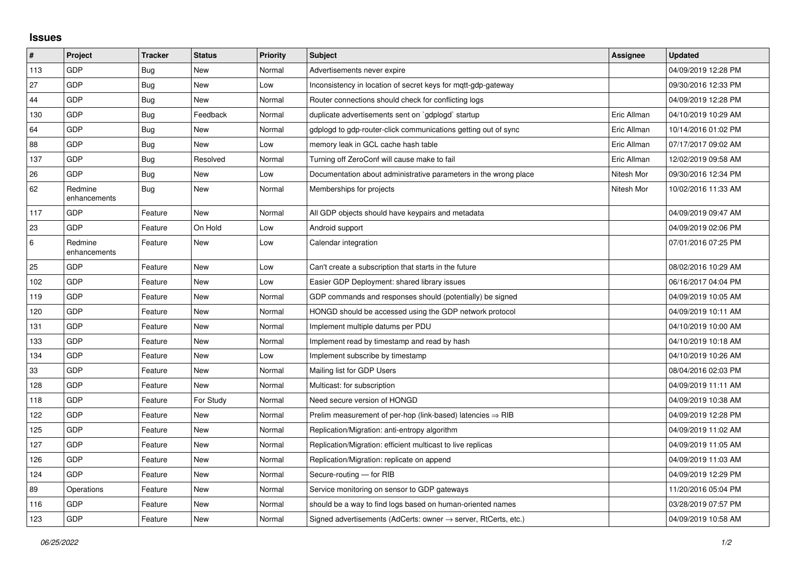## **Issues**

| #       | Project                 | <b>Tracker</b> | <b>Status</b> | <b>Priority</b> | <b>Subject</b>                                                             | Assignee    | <b>Updated</b>      |
|---------|-------------------------|----------------|---------------|-----------------|----------------------------------------------------------------------------|-------------|---------------------|
| 113     | GDP                     | Bug            | New           | Normal          | Advertisements never expire                                                |             | 04/09/2019 12:28 PM |
| 27      | GDP                     | Bug            | <b>New</b>    | Low             | Inconsistency in location of secret keys for mgtt-gdp-gateway              |             | 09/30/2016 12:33 PM |
| 44      | GDP                     | <b>Bug</b>     | <b>New</b>    | Normal          | Router connections should check for conflicting logs                       |             | 04/09/2019 12:28 PM |
| 130     | GDP                     | Bug            | Feedback      | Normal          | duplicate advertisements sent on `gdplogd` startup                         | Eric Allman | 04/10/2019 10:29 AM |
| 64      | GDP                     | <b>Bug</b>     | <b>New</b>    | Normal          | gdplogd to gdp-router-click communications getting out of sync             | Eric Allman | 10/14/2016 01:02 PM |
| 88      | GDP                     | Bug            | <b>New</b>    | Low             | memory leak in GCL cache hash table                                        | Eric Allman | 07/17/2017 09:02 AM |
| 137     | GDP                     | Bug            | Resolved      | Normal          | Turning off ZeroConf will cause make to fail                               | Eric Allman | 12/02/2019 09:58 AM |
| 26      | GDP                     | Bug            | <b>New</b>    | Low             | Documentation about administrative parameters in the wrong place           | Nitesh Mor  | 09/30/2016 12:34 PM |
| 62      | Redmine<br>enhancements | <b>Bug</b>     | <b>New</b>    | Normal          | Memberships for projects                                                   | Nitesh Mor  | 10/02/2016 11:33 AM |
| 117     | GDP                     | Feature        | <b>New</b>    | Normal          | All GDP objects should have keypairs and metadata                          |             | 04/09/2019 09:47 AM |
| 23      | GDP                     | Feature        | On Hold       | Low             | Android support                                                            |             | 04/09/2019 02:06 PM |
| $\,6\,$ | Redmine<br>enhancements | Feature        | <b>New</b>    | Low             | Calendar integration                                                       |             | 07/01/2016 07:25 PM |
| 25      | GDP                     | Feature        | <b>New</b>    | Low             | Can't create a subscription that starts in the future                      |             | 08/02/2016 10:29 AM |
| 102     | GDP                     | Feature        | New           | Low             | Easier GDP Deployment: shared library issues                               |             | 06/16/2017 04:04 PM |
| 119     | GDP                     | Feature        | <b>New</b>    | Normal          | GDP commands and responses should (potentially) be signed                  |             | 04/09/2019 10:05 AM |
| 120     | GDP                     | Feature        | New           | Normal          | HONGD should be accessed using the GDP network protocol                    |             | 04/09/2019 10:11 AM |
| 131     | GDP                     | Feature        | <b>New</b>    | Normal          | Implement multiple datums per PDU                                          |             | 04/10/2019 10:00 AM |
| 133     | GDP                     | Feature        | New           | Normal          | Implement read by timestamp and read by hash                               |             | 04/10/2019 10:18 AM |
| 134     | GDP                     | Feature        | <b>New</b>    | Low             | Implement subscribe by timestamp                                           |             | 04/10/2019 10:26 AM |
| 33      | GDP                     | Feature        | <b>New</b>    | Normal          | Mailing list for GDP Users                                                 |             | 08/04/2016 02:03 PM |
| 128     | GDP                     | Feature        | <b>New</b>    | Normal          | Multicast: for subscription                                                |             | 04/09/2019 11:11 AM |
| 118     | GDP                     | Feature        | For Study     | Normal          | Need secure version of HONGD                                               |             | 04/09/2019 10:38 AM |
| 122     | GDP                     | Feature        | <b>New</b>    | Normal          | Prelim measurement of per-hop (link-based) latencies $\Rightarrow$ RIB     |             | 04/09/2019 12:28 PM |
| 125     | GDP                     | Feature        | <b>New</b>    | Normal          | Replication/Migration: anti-entropy algorithm                              |             | 04/09/2019 11:02 AM |
| 127     | GDP                     | Feature        | <b>New</b>    | Normal          | Replication/Migration: efficient multicast to live replicas                |             | 04/09/2019 11:05 AM |
| 126     | GDP                     | Feature        | <b>New</b>    | Normal          | Replication/Migration: replicate on append                                 |             | 04/09/2019 11:03 AM |
| 124     | GDP                     | Feature        | <b>New</b>    | Normal          | Secure-routing - for RIB                                                   |             | 04/09/2019 12:29 PM |
| 89      | Operations              | Feature        | <b>New</b>    | Normal          | Service monitoring on sensor to GDP gateways                               |             | 11/20/2016 05:04 PM |
| 116     | GDP                     | Feature        | <b>New</b>    | Normal          | should be a way to find logs based on human-oriented names                 |             | 03/28/2019 07:57 PM |
| 123     | GDP                     | Feature        | New           | Normal          | Signed advertisements (AdCerts: owner $\rightarrow$ server, RtCerts, etc.) |             | 04/09/2019 10:58 AM |